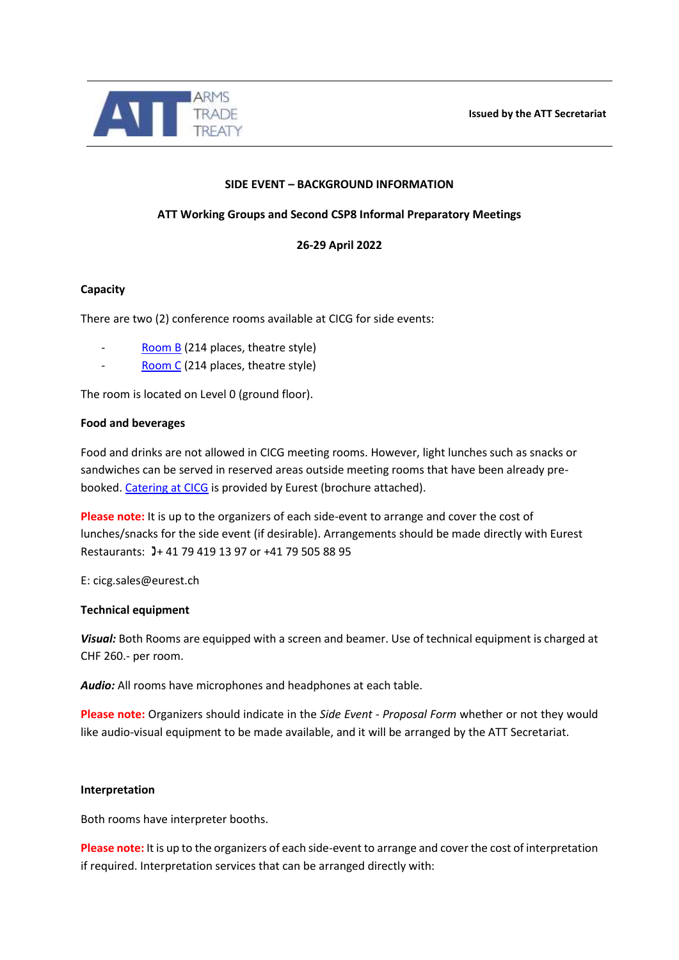

# **SIDE EVENT – BACKGROUND INFORMATION**

# **ATT Working Groups and Second CSP8 Informal Preparatory Meetings**

**26-29 April 2022**

### **Capacity**

There are two (2) conference rooms available at CICG for side events:

- [Room B](https://cicg.ch/en/plenary-b) (214 places, theatre style)
- [Room C](https://cicg.ch/en/plenary-c) (214 places, theatre style)

The room is located on Level 0 (ground floor).

#### **Food and beverages**

Food and drinks are not allowed in CICG meeting rooms. However, light lunches such as snacks or sandwiches can be served in reserved areas outside meeting rooms that have been already prebooked. [Catering at CICG](https://cicg.ch/en/organiser/your-event/our-partners/catering) is provided by Eurest (brochure attached).

**Please note:** It is up to the organizers of each side-event to arrange and cover the cost of lunches/snacks for the side event (if desirable). Arrangements should be made directly with Eurest Restaurants: 3+41 79 419 13 97 or +41 79 505 88 95

E: cicg.sales@eurest.ch

#### **Technical equipment**

*Visual:* Both Rooms are equipped with a screen and beamer. Use of technical equipment is charged at CHF 260.- per room.

*Audio:* All rooms have microphones and headphones at each table.

**Please note:** Organizers should indicate in the *Side Event - Proposal Form* whether or not they would like audio-visual equipment to be made available, and it will be arranged by the ATT Secretariat.

#### **Interpretation**

Both rooms have interpreter booths.

**Please note:** It is up to the organizers of each side-event to arrange and cover the cost of interpretation if required. Interpretation services that can be arranged directly with: